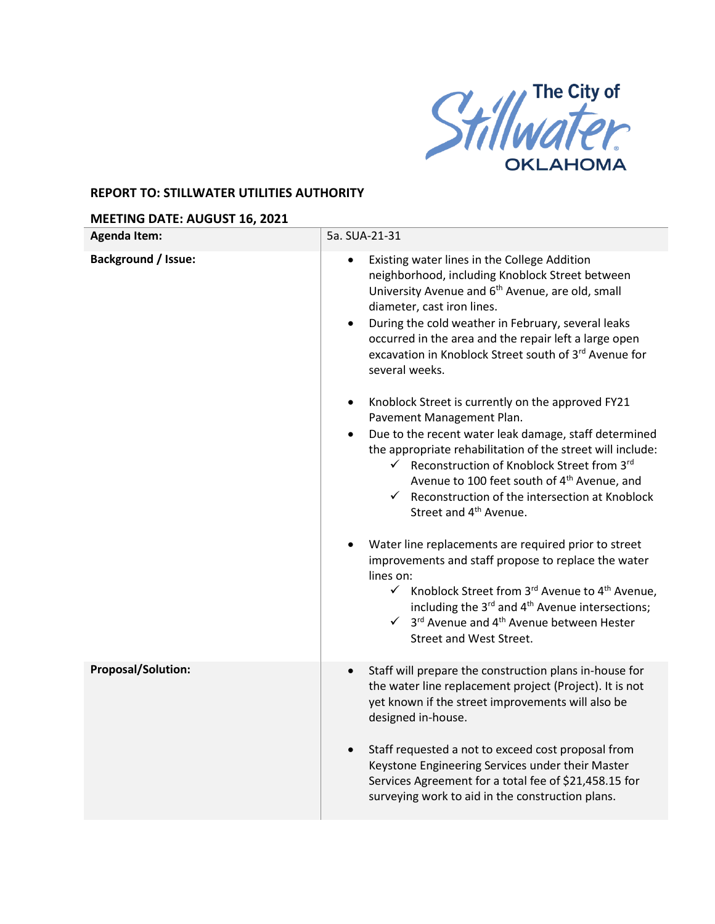

## **REPORT TO: STILLWATER UTILITIES AUTHORITY**

## **MEETING DATE: AUGUST 16, 2021**

| <b>Agenda Item:</b>        | 5a. SUA-21-31                                                                                                                                                                                                                                                                                                                                                                                                                                                                                                                                                                                                                                                                                      |
|----------------------------|----------------------------------------------------------------------------------------------------------------------------------------------------------------------------------------------------------------------------------------------------------------------------------------------------------------------------------------------------------------------------------------------------------------------------------------------------------------------------------------------------------------------------------------------------------------------------------------------------------------------------------------------------------------------------------------------------|
| <b>Background / Issue:</b> | Existing water lines in the College Addition<br>$\bullet$<br>neighborhood, including Knoblock Street between<br>University Avenue and 6 <sup>th</sup> Avenue, are old, small<br>diameter, cast iron lines.<br>During the cold weather in February, several leaks<br>$\bullet$<br>occurred in the area and the repair left a large open<br>excavation in Knoblock Street south of 3rd Avenue for<br>several weeks.<br>Knoblock Street is currently on the approved FY21<br>$\bullet$<br>Pavement Management Plan.<br>Due to the recent water leak damage, staff determined<br>the appropriate rehabilitation of the street will include:<br>$\checkmark$ Reconstruction of Knoblock Street from 3rd |
|                            | Avenue to 100 feet south of 4 <sup>th</sup> Avenue, and<br>$\checkmark$ Reconstruction of the intersection at Knoblock<br>Street and 4 <sup>th</sup> Avenue.<br>Water line replacements are required prior to street                                                                                                                                                                                                                                                                                                                                                                                                                                                                               |
|                            | improvements and staff propose to replace the water<br>lines on:<br>$\checkmark$ Knoblock Street from 3rd Avenue to 4 <sup>th</sup> Avenue,<br>including the 3 <sup>rd</sup> and 4 <sup>th</sup> Avenue intersections;<br>$\checkmark$ 3 <sup>rd</sup> Avenue and 4 <sup>th</sup> Avenue between Hester<br>Street and West Street.                                                                                                                                                                                                                                                                                                                                                                 |
| <b>Proposal/Solution:</b>  | Staff will prepare the construction plans in-house for<br>the water line replacement project (Project). It is not<br>yet known if the street improvements will also be<br>designed in-house.                                                                                                                                                                                                                                                                                                                                                                                                                                                                                                       |
|                            | Staff requested a not to exceed cost proposal from<br>Keystone Engineering Services under their Master<br>Services Agreement for a total fee of \$21,458.15 for<br>surveying work to aid in the construction plans.                                                                                                                                                                                                                                                                                                                                                                                                                                                                                |